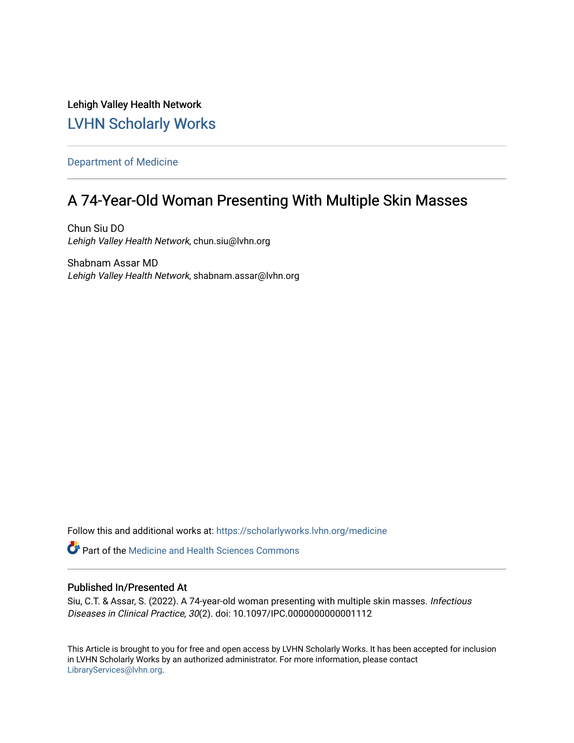Lehigh Valley Health Network [LVHN Scholarly Works](https://scholarlyworks.lvhn.org/)

[Department of Medicine](https://scholarlyworks.lvhn.org/medicine) 

## A 74-Year-Old Woman Presenting With Multiple Skin Masses

Chun Siu DO Lehigh Valley Health Network, chun.siu@lvhn.org

Shabnam Assar MD Lehigh Valley Health Network, shabnam.assar@lvhn.org

Follow this and additional works at: [https://scholarlyworks.lvhn.org/medicine](https://scholarlyworks.lvhn.org/medicine?utm_source=scholarlyworks.lvhn.org%2Fmedicine%2F2021&utm_medium=PDF&utm_campaign=PDFCoverPages) 

Part of the [Medicine and Health Sciences Commons](http://network.bepress.com/hgg/discipline/648?utm_source=scholarlyworks.lvhn.org%2Fmedicine%2F2021&utm_medium=PDF&utm_campaign=PDFCoverPages) 

## Published In/Presented At

Siu, C.T. & Assar, S. (2022). A 74-year-old woman presenting with multiple skin masses. Infectious Diseases in Clinical Practice, 30(2). doi: 10.1097/IPC.0000000000001112

This Article is brought to you for free and open access by LVHN Scholarly Works. It has been accepted for inclusion in LVHN Scholarly Works by an authorized administrator. For more information, please contact [LibraryServices@lvhn.org](mailto:LibraryServices@lvhn.org).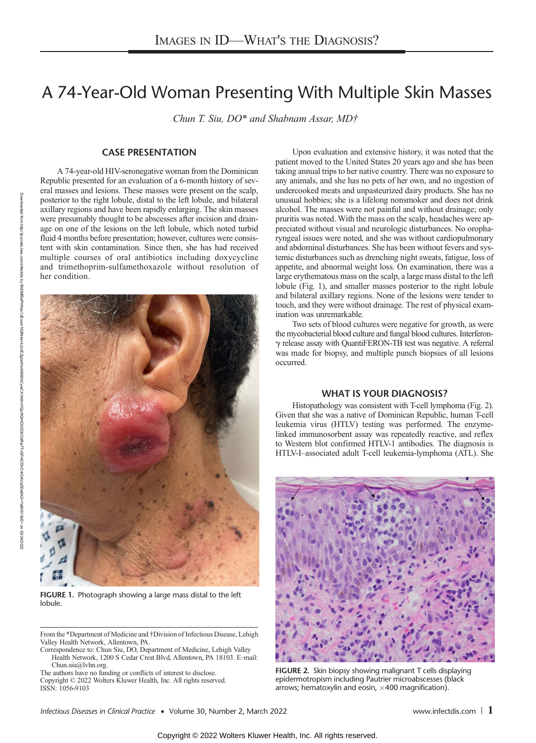# A 74-Year-Old Woman Presenting With Multiple Skin Masses

Chun T. Siu, DO\* and Shabnam Assar, MD†

## CASE PRESENTATION

A 74-year-old HIV-seronegative woman from the Dominican Republic presented for an evaluation of a 6-month history of several masses and lesions. These masses were present on the scalp, posterior to the right lobule, distal to the left lobule, and bilateral axillary regions and have been rapidly enlarging. The skin masses were presumably thought to be abscesses after incision and drainage on one of the lesions on the left lobule, which noted turbid fluid 4 months before presentation; however, cultures were consistent with skin contamination. Since then, she has had received multiple courses of oral antibiotics including doxycycline and trimethoprim-sulfamethoxazole without resolution of her condition.



FIGURE 1. Photograph showing a large mass distal to the left lobule.

From the \*Department of Medicine and †Division of Infectious Disease, Lehigh Valley Health Network, Allentown, PA.

Correspondence to: Chun Siu, DO, Department of Medicine, Lehigh Valley Health Network, 1200 S Cedar Crest Blvd, Allentown, PA 18103. E-mail: [Chun.siu@lvhn.org.](mailto:Chun.siu@lvhn.org)

The authors have no funding or conflicts of interest to disclose. Copyright © 2022 Wolters Kluwer Health, Inc. All rights reserved. ISSN: 1056-9103

Upon evaluation and extensive history, it was noted that the patient moved to the United States 20 years ago and she has been taking annual trips to her native country. There was no exposure to any animals, and she has no pets of her own, and no ingestion of undercooked meats and unpasteurized dairy products. She has no unusual hobbies; she is a lifelong nonsmoker and does not drink alcohol. The masses were not painful and without drainage; only pruritis was noted. With the mass on the scalp, headaches were appreciated without visual and neurologic disturbances. No oropharyngeal issues were noted, and she was without cardiopulmonary and abdominal disturbances. She has been without fevers and systemic disturbances such as drenching night sweats, fatigue, loss of appetite, and abnormal weight loss. On examination, there was a large erythematous mass on the scalp, a large mass distal to the left lobule (Fig. 1), and smaller masses posterior to the right lobule and bilateral axillary regions. None of the lesions were tender to touch, and they were without drainage. The rest of physical examination was unremarkable.

Two sets of blood cultures were negative for growth, as were the mycobacterial blood culture and fungal blood cultures. Interferonγ release assay with QuantiFERON-TB test was negative. A referral was made for biopsy, and multiple punch biopsies of all lesions occurred.

#### WHAT IS YOUR DIAGNOSIS?

Histopathology was consistent with T-cell lymphoma (Fig. 2). Given that she was a native of Dominican Republic, human T-cell leukemia virus (HTLV) testing was performed. The enzymelinked immunosorbent assay was repeatedly reactive, and reflex to Western blot confirmed HTLV-1 antibodies. The diagnosis is HTLV-I–associated adult T-cell leukemia-lymphoma (ATL). She



FIGURE 2. Skin biopsy showing malignant T cells displaying epidermotropism including Pautrier microabscesses (black arrows; hematoxylin and eosin,  $\times$  400 magnification).